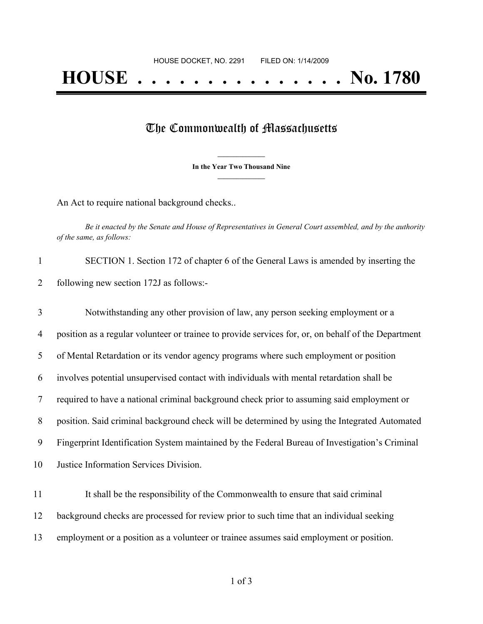## The Commonwealth of Massachusetts

**\_\_\_\_\_\_\_\_\_\_\_\_\_\_\_ In the Year Two Thousand Nine \_\_\_\_\_\_\_\_\_\_\_\_\_\_\_**

An Act to require national background checks..

Be it enacted by the Senate and House of Representatives in General Court assembled, and by the authority *of the same, as follows:*

| SECTION 1. Section 172 of chapter 6 of the General Laws is amended by inserting the |
|-------------------------------------------------------------------------------------|
| following new section 172J as follows:-                                             |

 Notwithstanding any other provision of law, any person seeking employment or a position as a regular volunteer or trainee to provide services for, or, on behalf of the Department of Mental Retardation or its vendor agency programs where such employment or position involves potential unsupervised contact with individuals with mental retardation shall be required to have a national criminal background check prior to assuming said employment or position. Said criminal background check will be determined by using the Integrated Automated Fingerprint Identification System maintained by the Federal Bureau of Investigation's Criminal Justice Information Services Division.

 It shall be the responsibility of the Commonwealth to ensure that said criminal background checks are processed for review prior to such time that an individual seeking employment or a position as a volunteer or trainee assumes said employment or position.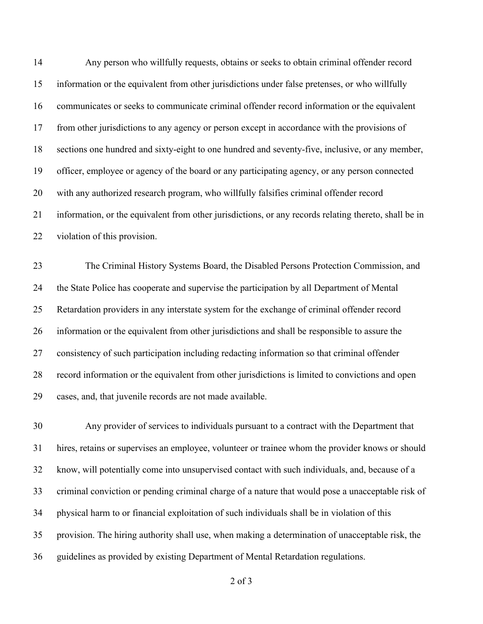Any person who willfully requests, obtains or seeks to obtain criminal offender record information or the equivalent from other jurisdictions under false pretenses, or who willfully communicates or seeks to communicate criminal offender record information or the equivalent from other jurisdictions to any agency or person except in accordance with the provisions of sections one hundred and sixty-eight to one hundred and seventy-five, inclusive, or any member, officer, employee or agency of the board or any participating agency, or any person connected with any authorized research program, who willfully falsifies criminal offender record information, or the equivalent from other jurisdictions, or any records relating thereto, shall be in violation of this provision.

 The Criminal History Systems Board, the Disabled Persons Protection Commission, and the State Police has cooperate and supervise the participation by all Department of Mental Retardation providers in any interstate system for the exchange of criminal offender record information or the equivalent from other jurisdictions and shall be responsible to assure the consistency of such participation including redacting information so that criminal offender record information or the equivalent from other jurisdictions is limited to convictions and open cases, and, that juvenile records are not made available.

 Any provider of services to individuals pursuant to a contract with the Department that hires, retains or supervises an employee, volunteer or trainee whom the provider knows or should know, will potentially come into unsupervised contact with such individuals, and, because of a criminal conviction or pending criminal charge of a nature that would pose a unacceptable risk of physical harm to or financial exploitation of such individuals shall be in violation of this provision. The hiring authority shall use, when making a determination of unacceptable risk, the guidelines as provided by existing Department of Mental Retardation regulations.

of 3